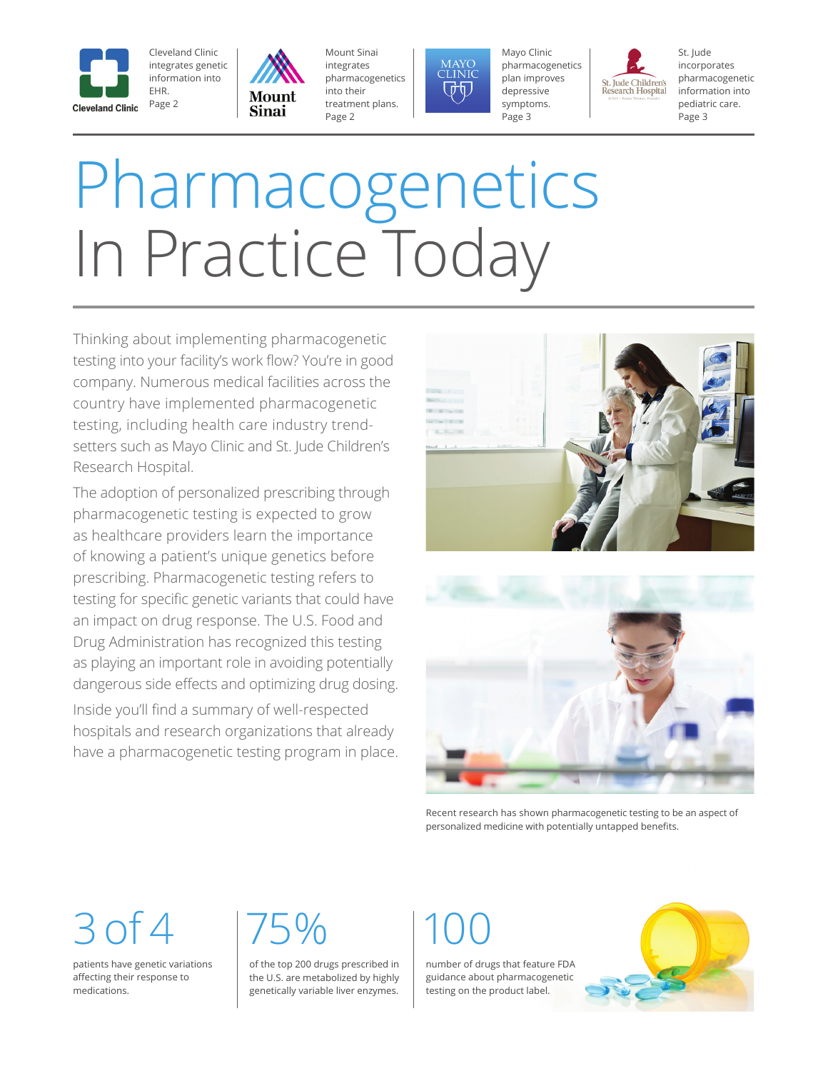

EHR.



Mount Sinai integrates pharmacogenetics into their treatment plans. Page 2



Mayo Clinic pharmacogenetics plan improves depressive symptoms. Page 3



St. Jude incorporates pharmacogenetic information into pediatric care. Page 3

# Pharmacogenetics In Practice Today

Thinking about implementing pharmacogenetic testing into your facility's work flow? You're in good company. Numerous medical facilities across the country have implemented pharmacogenetic testing, including health care industry trendsetters such as Mayo Clinic and St. Jude Children's Research Hospital.

The adoption of personalized prescribing through pharmacogenetic testing is expected to grow as healthcare providers learn the importance of knowing a patient's unique genetics before prescribing. Pharmacogenetic testing refers to testing for specific genetic variants that could have an impact on drug response. The U.S. Food and Drug Administration has recognized this testing as playing an important role in avoiding potentially dangerous side effects and optimizing drug dosing. Inside you'll find a summary of well-respected hospitals and research organizations that already have a pharmacogenetic testing program in place.



Recent research has shown pharmacogenetic testing to be an aspect of personalized medicine with potentially untapped benefits.

## $3$  of 4 175%

patients have genetic variations afecting their response to medications.

of the top 200 drugs prescribed in the U.S. are metabolized by highly genetically variable liver enzymes.

number of drugs that feature FDA guidance about pharmacogenetic testing on the product label.

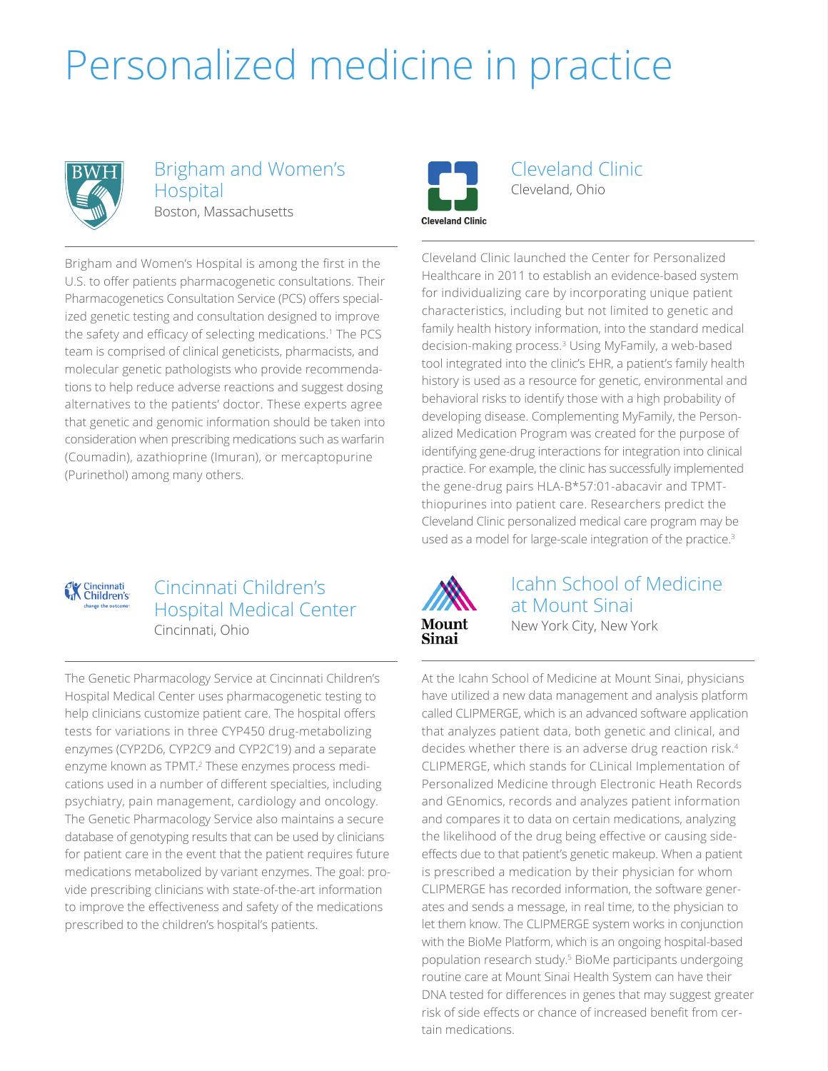## Personalized medicine in practice



#### Brigham and Women's Hospital Boston, Massachusetts

Brigham and Women's Hospital is among the first in the U.S. to offer patients pharmacogenetic consultations. Their Pharmacogenetics Consultation Service (PCS) offers specialized genetic testing and consultation designed to improve the safety and efficacy of selecting medications.<sup>1</sup> The PCS team is comprised of clinical geneticists, pharmacists, and molecular genetic pathologists who provide recommendations to help reduce adverse reactions and suggest dosing alternatives to the patients' doctor. These experts agree that genetic and genomic information should be taken into consideration when prescribing medications such as warfarin (Coumadin), azathioprine (Imuran), or mercaptopurine (Purinethol) among many others.



Cleveland Clinic Cleveland, Ohio

**Cleveland Clinic** 

Cleveland Clinic launched the Center for Personalized Healthcare in 2011 to establish an evidence-based system for individualizing care by incorporating unique patient characteristics, including but not limited to genetic and family health history information, into the standard medical decision-making process.<sup>3</sup> Using MyFamily, a web-based tool integrated into the clinic's EHR, a patient's family health history is used as a resource for genetic, environmental and behavioral risks to identify those with a high probability of developing disease. Complementing MyFamily, the Personalized Medication Program was created for the purpose of identifying gene-drug interactions for integration into clinical practice. For example, the clinic has successfully implemented the gene-drug pairs HLA-B\*57:01-abacavir and TPMTthiopurines into patient care. Researchers predict the Cleveland Clinic personalized medical care program may be used as a model for large-scale integration of the practice.<sup>3</sup>



### Cincinnati Children's Hospital Medical Center Cincinnati, Ohio

The Genetic Pharmacology Service at Cincinnati Children's Hospital Medical Center uses pharmacogenetic testing to help clinicians customize patient care. The hospital offers tests for variations in three CYP450 drug-metabolizing enzymes (CYP2D6, CYP2C9 and CYP2C19) and a separate enzyme known as TPMT.2 These enzymes process medications used in a number of diferent specialties, including psychiatry, pain management, cardiology and oncology. The Genetic Pharmacology Service also maintains a secure database of genotyping results that can be used by clinicians for patient care in the event that the patient requires future medications metabolized by variant enzymes. The goal: provide prescribing clinicians with state-of-the-art information to improve the efectiveness and safety of the medications prescribed to the children's hospital's patients.



### Icahn School of Medicine at Mount Sinai New York City, New York

At the Icahn School of Medicine at Mount Sinai, physicians have utilized a new data management and analysis platform called CLIPMERGE, which is an advanced software application that analyzes patient data, both genetic and clinical, and decides whether there is an adverse drug reaction risk.<sup>4</sup> CLIPMERGE, which stands for CLinical Implementation of Personalized Medicine through Electronic Heath Records and GEnomics, records and analyzes patient information and compares it to data on certain medications, analyzing the likelihood of the drug being efective or causing sideefects due to that patient's genetic makeup. When a patient is prescribed a medication by their physician for whom CLIPMERGE has recorded information, the software generates and sends a message, in real time, to the physician to let them know. The CLIPMERGE system works in conjunction with the BioMe Platform, which is an ongoing hospital-based population research study.<sup>5</sup> BioMe participants undergoing routine care at Mount Sinai Health System can have their DNA tested for diferences in genes that may suggest greater risk of side efects or chance of increased beneft from certain medications.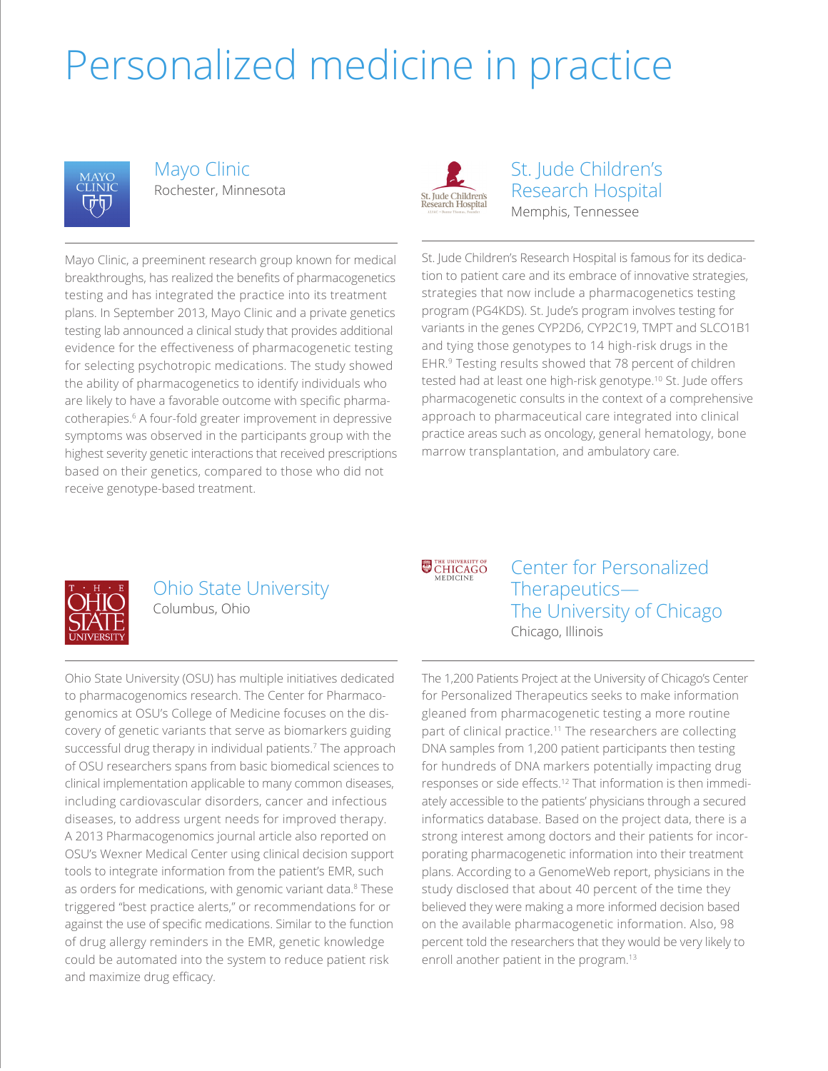### Personalized medicine in practice



Mayo Clinic Rochester, Minnesota



St. Jude Children's Research Hospital Memphis, Tennessee

Mayo Clinic, a preeminent research group known for medical breakthroughs, has realized the benefts of pharmacogenetics testing and has integrated the practice into its treatment plans. In September 2013, Mayo Clinic and a private genetics testing lab announced a clinical study that provides additional evidence for the efectiveness of pharmacogenetic testing for selecting psychotropic medications. The study showed the ability of pharmacogenetics to identify individuals who are likely to have a favorable outcome with specific pharmacotherapies.6 A four-fold greater improvement in depressive symptoms was observed in the participants group with the highest severity genetic interactions that received prescriptions based on their genetics, compared to those who did not receive genotype-based treatment.

St. Jude Children's Research Hospital is famous for its dedication to patient care and its embrace of innovative strategies, strategies that now include a pharmacogenetics testing program (PG4KDS). St. Jude's program involves testing for variants in the genes CYP2D6, CYP2C19, TMPT and SLCO1B1 and tying those genotypes to 14 high-risk drugs in the EHR.9 Testing results showed that 78 percent of children tested had at least one high-risk genotype.<sup>10</sup> St. Jude offers pharmacogenetic consults in the context of a comprehensive approach to pharmaceutical care integrated into clinical practice areas such as oncology, general hematology, bone marrow transplantation, and ambulatory care.



#### Ohio State University Columbus, Ohio

Ohio State University (OSU) has multiple initiatives dedicated to pharmacogenomics research. The Center for Pharmacogenomics at OSU's College of Medicine focuses on the discovery of genetic variants that serve as biomarkers guiding successful drug therapy in individual patients.<sup>7</sup> The approach of OSU researchers spans from basic biomedical sciences to clinical implementation applicable to many common diseases, including cardiovascular disorders, cancer and infectious diseases, to address urgent needs for improved therapy. A 2013 Pharmacogenomics journal article also reported on OSU's Wexner Medical Center using clinical decision support tools to integrate information from the patient's EMR, such as orders for medications, with genomic variant data.<sup>8</sup> These triggered "best practice alerts," or recommendations for or against the use of specifc medications. Similar to the function of drug allergy reminders in the EMR, genetic knowledge could be automated into the system to reduce patient risk and maximize drug efficacy.

THE UNIVERSITY OF CHICAGO

Center for Personalized Therapeutics— The University of Chicago Chicago, Illinois

The 1,200 Patients Project at the University of Chicago's Center for Personalized Therapeutics seeks to make information gleaned from pharmacogenetic testing a more routine part of clinical practice.<sup>11</sup> The researchers are collecting DNA samples from 1,200 patient participants then testing for hundreds of DNA markers potentially impacting drug responses or side effects.<sup>12</sup> That information is then immediately accessible to the patients' physicians through a secured informatics database. Based on the project data, there is a strong interest among doctors and their patients for incorporating pharmacogenetic information into their treatment plans. According to a GenomeWeb report, physicians in the study disclosed that about 40 percent of the time they believed they were making a more informed decision based on the available pharmacogenetic information. Also, 98 percent told the researchers that they would be very likely to enroll another patient in the program.<sup>13</sup>